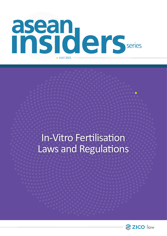

# In-Vitro Fertilisation Laws and Regulations

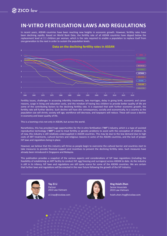#### **IN-VITRO FERTILISATION LAWS AND REGULATIONS**

In recent years, ASEAN countries have been reaching new heights in economic growth. However, fertility rates have been declining rapidly. Based on World Bank Data, the fertility rate of all ASEAN countries have dipped below the replacement level at 2.1 children per woman, which is the rate required to enable a population to replace itself from one generation to the next in order to sustain the population levels.



Fertility issues, challenges in accessing infertility treatments, late marriages, delay in giving birth, economic and career reasons, surge in living and education costs, and the mindset of having less children to provide better quality of life are some of the contributing factors to the declining fertility rate. It is expected that with further economic growth, the fertility rate will further decline. Such decline will have dire consequences, socially and economically, to a country as the population size will shrink, society will age, workforce will decrease, and taxpayers will reduce. These will cause a decline in economy and lower quality of life.

This is a looming crisis not only in ASEAN, but across the world.

Nonetheless, this has provided huge opportunities for the in-vitro fertilisation ("**IVF**") industry, which is a type of assisted reproductive technology ("**ART**") used to treat fertility or genetic problems to assist with the conception of children. As of now, this industry is still relatively undersupplied in ASEAN countries. This may be due to the low demand due to high costs of ART treatments, cultural barriers and religious reasons in some of the ASEAN countries, and the lack of proper IVF laws and regulations being in place.

However, we believe that this industry will thrive as people begin to overcome the cultural barrier and countries start to take measures to provide financial support and incentives to prevent the declining fertility rates. Such measures have already been introduced in Singapore and Malaysia.

This publication provides a snapshot of the various aspects and considerations of IVF laws regulations (including the feasibility of establishing an ART facility to conduct IVF, egg freezing and surrogacy) across ASEAN to date. As the industry is still in its infancy, IVF laws and regulations are still quite scarce for some of the ASEAN countries. We are certain that further laws and regulations will be enacted in the near future following the growth of the IVF industry.



**Tay Zi Li** Partner ZICO Law Vietnam

zi.li.tay@zicolaw.com



**Hng Hsieh Zhen** Senior Associate ZICO Law Vietnam

hsieh.zhen.hng@zicolaw.com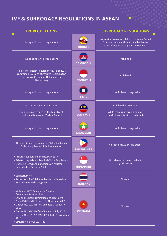## **IVF & SURROGACY REGULATIONS IN ASEAN**

| <b>IVF REGULATIONS</b>                                                                                                                                                                                                                                                                                                                                            |                           | <b>SURROGACY REGULATIONS</b>                                                                                                                    |
|-------------------------------------------------------------------------------------------------------------------------------------------------------------------------------------------------------------------------------------------------------------------------------------------------------------------------------------------------------------------|---------------------------|-------------------------------------------------------------------------------------------------------------------------------------------------|
| No specific laws or regulations                                                                                                                                                                                                                                                                                                                                   | <b>BRUNEI</b>             | No specific laws or regulations, however Brunei<br>is Syariah-compliant thus it could be deemed<br>as an infraction of religious sensibilities. |
| No specific laws or regulations                                                                                                                                                                                                                                                                                                                                   | <b>CAMBODIA</b>           | Prohibited                                                                                                                                      |
| Minister of Health Regulation No. 43 of 2015<br>regarding Provisions of Assisted Reproductive<br>Services or Pregnancy Outside of the<br><b>Natural Way</b>                                                                                                                                                                                                       | <b>INDONESIA</b>          | Prohibited                                                                                                                                      |
| No specific laws or regulations                                                                                                                                                                                                                                                                                                                                   | <b>LAOS</b>               | No specific laws or regulations                                                                                                                 |
| No specific laws or regulations.<br>Guidelines are issued by the Ministry of<br>Health and Malaysian Medical Council.                                                                                                                                                                                                                                             | <b>MALAYSIA</b>           | Prohibited for Muslims.<br>While there is no prohibition for<br>non-Muslims, it is still not advisable.                                         |
| No specific laws or regulations                                                                                                                                                                                                                                                                                                                                   | <b>MYANMAR</b>            | No specific laws or regulations                                                                                                                 |
| No specific laws, however the Philippine Family<br>Code recognises artificial insemination.                                                                                                                                                                                                                                                                       | <b>PHILIPPINES</b>        | No specific laws or regulations                                                                                                                 |
| • Private Hospitals and Medical Clinics Act<br>• Private Hospitals and Medical Clinics Regulations<br>• Licensing Terms and Conditions on Assisted<br><b>Reproduction Services 2020</b>                                                                                                                                                                           | <b>SINGAPORE</b>          | Not allowed to be carried out<br>by IVF centres                                                                                                 |
| • Sanatorium Act<br>• Protection of a Child Born by Medically Assisted<br>Reproductive Technology Act                                                                                                                                                                                                                                                             | <b>THAILAND</b>           | Allowed                                                                                                                                         |
| • Vietnam's WTO Schedule of Specific<br><b>Commitments in Services</b><br>• Law on Medical Examination and Treatment<br>No. 40/2009/ND-CP dated 23 November 2009<br>• Decree No. 10/2015/ND-CP dated 28 January<br>2015<br>• Decree No. 98/2016/ND-CP dated 1 July 2016<br>• Decree No. 155/2018/ND-CP dated 12 November<br>2018<br>• Circular No. 57/2015/TT-BYT | $\star$<br><b>VIETNAM</b> | Allowed                                                                                                                                         |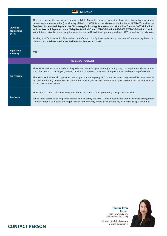| <b>MALAYSIA</b>                          |                                                                                                                                                                                                                                                                                                                                                                                                                                                                                                                                                                                                                                                                                                                                                                                       |
|------------------------------------------|---------------------------------------------------------------------------------------------------------------------------------------------------------------------------------------------------------------------------------------------------------------------------------------------------------------------------------------------------------------------------------------------------------------------------------------------------------------------------------------------------------------------------------------------------------------------------------------------------------------------------------------------------------------------------------------------------------------------------------------------------------------------------------------|
| Laws and<br><b>Regulations</b><br>on IVF | There are no specific laws or regulations on IVF in Malaysia. However, guidelines have been issued by government<br>departments and association (the Ministry of Health ("MOH") and the Malaysian Medical Council ("MMC")) such as the<br>Standards for Assisted Reproductive Technology-Embryology Laboratory and Operation Theatre ("ART Guideline")<br>and the 'Assisted Reproduction' - Malaysian Medical Council MMC Guideline 003/2006 ("MMC Guidelines") which<br>set minimum standards and requirements for any ART facilities operating and any ART procedures in Malaysia.<br>Further, ART facilities which falls under the definition of a "private ambulatory care centre" are also regulated and<br>licensed by the Private Healthcare Facilities and Services Act 1998. |
| <b>Regulatory</b><br>authority           | <b>MOH</b>                                                                                                                                                                                                                                                                                                                                                                                                                                                                                                                                                                                                                                                                                                                                                                            |
| <b>Regulatory Framework</b>              |                                                                                                                                                                                                                                                                                                                                                                                                                                                                                                                                                                                                                                                                                                                                                                                       |
| <b>Egg Freezing</b>                      | The ART Guidelines sets out in detail the guidelines on the ART procedures (including preparation prior to such procedure,<br>the collection and handling of gametes, quality assurance of the examination procedures, and reporting of results).<br>The MMC Guidelines also provides that all persons undergoing ART should be adequately tested for transmittable<br>diseases before any procedures are conducted. Further, no ART treatment can be given without their written consent<br>to the particular treatment.                                                                                                                                                                                                                                                             |
| <b>Surrogacy</b>                         | The National Council of Islamic Religious Affairs has issued a fatwa prohibiting surrogacy for Muslims.<br>While there seems to be no prohibition for non-Muslims, the MMC Guidelines provides that a surrogate arrangement<br>is not acceptable to most of the major religion in the country and can also potentially lead to many legal dilemmas.                                                                                                                                                                                                                                                                                                                                                                                                                                   |



#### Zaid Ibrahim & Co. (a member of ZICO Law)

**Tan Hui Lynn** Partner

hui.lynn.tan@zicolaw.com

t. +603 2087 9952 **CONTACT PERSON**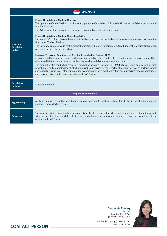| <b>SINGAPORE</b>                         |                                                                                                                                                                                                                                                                                                                                                                                                                                                                                                                                                                                                                                                                                                                                                                                                                                                                                                                                                                                                                                                                                                                                                                                                                                                                                                                                                                                                                                     |  |
|------------------------------------------|-------------------------------------------------------------------------------------------------------------------------------------------------------------------------------------------------------------------------------------------------------------------------------------------------------------------------------------------------------------------------------------------------------------------------------------------------------------------------------------------------------------------------------------------------------------------------------------------------------------------------------------------------------------------------------------------------------------------------------------------------------------------------------------------------------------------------------------------------------------------------------------------------------------------------------------------------------------------------------------------------------------------------------------------------------------------------------------------------------------------------------------------------------------------------------------------------------------------------------------------------------------------------------------------------------------------------------------------------------------------------------------------------------------------------------------|--|
| Laws and<br><b>Regulations</b><br>on IVF | <b>Private Hospitals and Medical Clinics Act</b><br>The operation of an IVF facility constitutes an operation of a medical clinic which falls under the Private Hospitals and<br><b>Medical Clinics Act.</b><br>The Act provides that no premises can be used as a medical clinic without a licence.<br><b>Private Hospitals and Medical Clinics Regulations</b><br>Further, as IVF business is considered as a special care service, the medical centre must obtain prior approval from the<br>Director of Medical Services.<br>The Regulations also provide that a medical practitioner (namely, a person registered under the Medical Registration<br>Act) must manage the medical clinic.<br>Licensing Terms and Conditions on Assisted Reproduction Services 2020<br>Imposes conditions on the licence and approval of medical clinics and centres. Conditions are imposed on facilities,<br>clinical and laboratory practices, record keeping, quality and risk management, and others.<br>The medical centre conducting assisted reproduction services (including IVF) ("AR Centre") must only permit medical<br>practitioners and embryologists, all of whom must be authorised by the Director of Medical Services to perform clinical<br>and laboratory work in assisted reproduction. At minimum there must at least be one authorised medical practitioner<br>and two authorised embryologist working at the AR Centre. |  |
| <b>Regulatory</b><br>authority           | Ministry of Health                                                                                                                                                                                                                                                                                                                                                                                                                                                                                                                                                                                                                                                                                                                                                                                                                                                                                                                                                                                                                                                                                                                                                                                                                                                                                                                                                                                                                  |  |
| <b>Regulatory Framework</b>              |                                                                                                                                                                                                                                                                                                                                                                                                                                                                                                                                                                                                                                                                                                                                                                                                                                                                                                                                                                                                                                                                                                                                                                                                                                                                                                                                                                                                                                     |  |
| <b>Egg Freezing</b>                      | AR Centres must ensure that its laboratories have appropriate labelling systems for identifying and tracing gametes/<br>embryos from collection to freeze.                                                                                                                                                                                                                                                                                                                                                                                                                                                                                                                                                                                                                                                                                                                                                                                                                                                                                                                                                                                                                                                                                                                                                                                                                                                                          |  |
| <b>Surrogacy</b>                         | Surrogacy activities, namely where a woman is artificially impregnated whether for monetary consideration or not,<br>with the intention that the child is to be given and adopted by some other person or couple, are not allowed to be<br>carried out by AR Centres.                                                                                                                                                                                                                                                                                                                                                                                                                                                                                                                                                                                                                                                                                                                                                                                                                                                                                                                                                                                                                                                                                                                                                               |  |



Partner Zaid Ibrahim & Co. (a member of ZICO Law)

**Stephanie Choong**

#### t. +603 2087 9835 **CONTACT PERSON**

stephanie.choong@zicolaw.com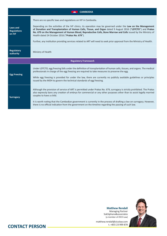| <b>CAMBODIA</b>                          |                                                                                                                                                                                                                                                                                                                                                                                                                                                                                                                                                                                                 |
|------------------------------------------|-------------------------------------------------------------------------------------------------------------------------------------------------------------------------------------------------------------------------------------------------------------------------------------------------------------------------------------------------------------------------------------------------------------------------------------------------------------------------------------------------------------------------------------------------------------------------------------------------|
| Laws and<br><b>Regulations</b><br>on IVF | There are no specific laws and regulations on IVF in Cambodia.<br>Depending on the activities of the IVF clinics, its operation may be governed under the Law on the Management<br>of Donation and Transplantation of Human Cells, Tissue, and Organ dated 9 August 2016 ("LDTCTO") and Prakas<br>No. 679 on the Management of Human Blood, Reproductive Cells, Bone Marrow and Cells issued by the Ministry of<br>Health dated 24 October 2016 ("Prakas No. 679").<br>Further, any institution providing services related to ART will need to seek prior approval from the Ministry of Health. |
| <b>Regulatory</b><br>authority           | Ministry of Health                                                                                                                                                                                                                                                                                                                                                                                                                                                                                                                                                                              |
|                                          | <b>Regulatory Framework</b>                                                                                                                                                                                                                                                                                                                                                                                                                                                                                                                                                                     |
| <b>Egg Freezing</b>                      | Under LDTCTO, egg freezing falls under the definition of transplantation of human cells, tissues, and organs. The medical<br>professionals in charge of the egg freezing are required to take measures to preserve the egg.<br>While egg freezing is provided for under the law, there are currently no publicly available guidelines or principles<br>issued by the MOH to govern the technical standards of egg freezing.                                                                                                                                                                     |
| <b>Surrogacy</b>                         | Although the provision of service of ART is permitted under Prakas No. 679, surrogacy is strictly prohibited. The Prakas<br>also expressly bans any creation of embryo for commercial or any other purposes other than to assist legally married<br>couples to have a child.<br>It is worth noting that the Cambodian government is currently in the process of drafting a law on surrogacy. However,<br>there is no official indication from the government on the timeline regarding the passing of such law.                                                                                 |



SokSiphana&associates (a member of ZICO Law)

**Matthew Rendall** Managing Partner

t. +855 23 999 878 **CONTACT PERSON**

matthew.rendall@zicolaw.com<br>t. +855 23 999 878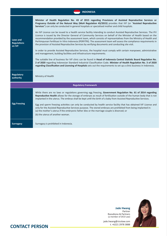| <b>INDONESIA</b>                         |                                                                                                                                                                                                                                                                                                                                                                                                                                                                                                                                                                                                                                                                                                                                                                                                                                                                                                                                                                                                                                                                                                                                                                                                                                                                                                                                                                                                                                                                                                    |  |
|------------------------------------------|----------------------------------------------------------------------------------------------------------------------------------------------------------------------------------------------------------------------------------------------------------------------------------------------------------------------------------------------------------------------------------------------------------------------------------------------------------------------------------------------------------------------------------------------------------------------------------------------------------------------------------------------------------------------------------------------------------------------------------------------------------------------------------------------------------------------------------------------------------------------------------------------------------------------------------------------------------------------------------------------------------------------------------------------------------------------------------------------------------------------------------------------------------------------------------------------------------------------------------------------------------------------------------------------------------------------------------------------------------------------------------------------------------------------------------------------------------------------------------------------------|--|
| Laws and<br><b>Regulations</b><br>on IVF | Minister of Health Regulation No. 43 of 2015 regarding Provisions of Assisted Reproductive Services or<br>Pregnancy Outside of the Natural Way (MoH Regulation 43/2015) provides that IVF (or "Assisted Reproductive<br>Services") can only be conducted in general hospitals or specialised mother and child hospitals.<br>An IVF Licence can be issued to a health service facility intending to conduct Assisted Reproductive Services. The IFV<br>Licence is issued by the Director General of Community Services on behalf of the Minister of Health based on the<br>recommendation provided by the assessment team, which consists of representatives from the Ministry of Health and<br>Perhimpunan Fertilisasi In Vitro Indonesia (PERFITRI). The assessment team will assess the compliance requirements in<br>the provision of Assisted Reproductive Services by verifying documents and conducting site visit.<br>In order to provide Assisted Reproductive Services, the hospital must comply with certain manpower, administrative<br>and management, building facilities and infrastructure requirements.<br>The suitable line of business for IVF clinic can be found in Head of Indonesia Central Statistic Board Regulation No.<br>2 of 2020 regarding Indonesian Standard Industrial Classification Code. Minister of Health Regulation No. 3 of 2020<br>regarding Classification and Licensing of Hospitals sets out the requirements to set up a clinic business in Indonesia. |  |
| <b>Regulatory</b><br>authority           | Ministry of Health                                                                                                                                                                                                                                                                                                                                                                                                                                                                                                                                                                                                                                                                                                                                                                                                                                                                                                                                                                                                                                                                                                                                                                                                                                                                                                                                                                                                                                                                                 |  |
| <b>Regulatory Framework</b>              |                                                                                                                                                                                                                                                                                                                                                                                                                                                                                                                                                                                                                                                                                                                                                                                                                                                                                                                                                                                                                                                                                                                                                                                                                                                                                                                                                                                                                                                                                                    |  |
| <b>Egg Freezing</b>                      | While there are no laws or regulations governing egg freezing, Government Regulation No. 61 of 2014 regarding<br>Reproductive Health allows for the storage of embryos as result of fertilisation outside of the human body that is not<br>implanted in the uterus. The embryo shall be kept until the birth of a baby from Assisted Reproductive Services.<br>Egg and sperm freezing activities can only be conducted by health service facility that has obtained IVF License and<br>only for the Assisted Reproductive Services purpose. The stored embryos are prohibited from being implanted in:<br>(a) the mother's uterus if the embryonic father dies or the marriage couple is divorced; or<br>(b) the uterus of another woman.                                                                                                                                                                                                                                                                                                                                                                                                                                                                                                                                                                                                                                                                                                                                                          |  |
| <b>Surrogacy</b>                         | Surrogacy is prohibited in Indonesia.                                                                                                                                                                                                                                                                                                                                                                                                                                                                                                                                                                                                                                                                                                                                                                                                                                                                                                                                                                                                                                                                                                                                                                                                                                                                                                                                                                                                                                                              |  |



Partner Roosdiono & Partners (a member of ZICO Law)

**Jade Hwang**

#### **CONTACT PERSON**

jade.hwang@zicolaw.com<br>t. +6221 2978 3888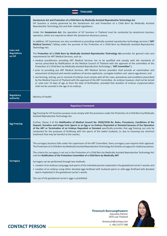| <b>THAILAND</b>              |                                                                                                                                                                                                                                                                                                                                                                                                                                                                                                                          |  |
|------------------------------|--------------------------------------------------------------------------------------------------------------------------------------------------------------------------------------------------------------------------------------------------------------------------------------------------------------------------------------------------------------------------------------------------------------------------------------------------------------------------------------------------------------------------|--|
| <b>Laws and</b>              | Sanatorium Act and Protection of a Child Born by Medically Assisted Reproductive Technology Act<br>IVF business is mainly governed by the Sanatorium Act and Protection of a Child Born by Medically Assisted<br>Reproductive Technology Act and their related regulations.                                                                                                                                                                                                                                              |  |
|                              | Under the Sanatorium Act, the operation of IVF business in Thailand must be conducted by sanatorium business<br>operators, which are required to obtain the Sanatorium Business Licence.                                                                                                                                                                                                                                                                                                                                 |  |
|                              | In addition, IVF businesses are also considered as providing medically assisted reproductive technology services ("ART<br>Medical Services") falling under the purview of the Protection of a Child Born by Medically Assisted Reproductive<br>Technology Act.                                                                                                                                                                                                                                                           |  |
| <b>Regulations</b><br>on IVF | The Protection of a Child Born by Medically Assisted Reproductive Technology Act provides for general rules and<br>requirements for ART Medical Services, such as:                                                                                                                                                                                                                                                                                                                                                       |  |
|                              | • medical practitioners providing ART Medical Services has to be qualified and comply with the standards of<br>service prescribed by Notifications of the Medical Council of Thailand with the approval of the committee of the<br>Protection of a Child Born by Medically Assisted Reproductive Technology ("ART Committee");                                                                                                                                                                                           |  |
|                              | • prior to providing any ART Medical Services, ART Medical Service providers shall provide an examination and<br>assessment of physical and mental readiness of service applicants, surrogate mothers and sperm egg donors; and                                                                                                                                                                                                                                                                                          |  |
|                              | • any forming, storing, use or removal of embryo must comply with all the rules, procedures and conditions prescribed<br>by the Medical Council of Thailand with the approval of the ART Committee. An embryo however, shall not be stored<br>or used over 14 days of age as from the date of fertilisation, provided that duration of embryo cryopreservation<br>shall not be counted in the age of an embryo.                                                                                                          |  |
|                              |                                                                                                                                                                                                                                                                                                                                                                                                                                                                                                                          |  |
| <b>Regulatory</b>            | Ministry of Health                                                                                                                                                                                                                                                                                                                                                                                                                                                                                                       |  |
| authority                    |                                                                                                                                                                                                                                                                                                                                                                                                                                                                                                                          |  |
|                              | <b>Regulatory Framework</b>                                                                                                                                                                                                                                                                                                                                                                                                                                                                                              |  |
|                              | Egg freezing for IVF business purpose must comply with the provisions under the Protection of a Child Born by Medically<br>Assisted Reproductive Technology Act.                                                                                                                                                                                                                                                                                                                                                         |  |
| <b>Egg Freezing</b>          | Further, Clause 4 of the Notification of Medical Council No. 95(9)/2558 Re: Rules, Procedures, Conditions of the<br>Deposit, Donation and Usage from Sperm or an Egg or an Embryo Deposited or Donated because of the Operation<br>of the ART or Termination of an Embryo Deposited or Donated specifically provides that egg freezing can only be<br>conducted for the purposes of fertilising with the sperm of the lawful husband, or, due to receiving any chemical<br>treatment that may be harmful to the ovaries. |  |
|                              | The surrogacy business falls under the supervision of the ART Committee. Every surrogacy case requires their approval.<br>The Protection of a Child Born by Medically Assisted Reproductive Technology Act forbids surrogacy for medical purposes.                                                                                                                                                                                                                                                                       |  |
|                              | The criteria for surrogacy is set out in the Protection of a Child Born by Medically Assisted Reproductive Technology Act<br>and the Notification of the Protection Committee of a Child Born by Medically ART.                                                                                                                                                                                                                                                                                                          |  |
| <b>Surrogacy</b>             | Surrogacy can be performed through two methods:<br>• creation of an embryo using eggs and sperm of the intended parents implanted in the gestational carrier's womb; and<br>• creation of an embryo using either donated eggs fertilised with husband sperm or wife eggs fertilised with donated<br>sperm implanted in the gestational carrier's womb.                                                                                                                                                                   |  |



**Threenuch Bunruangthaworn** Executive Partner ZICO Law Thailand

**CONTACT PERSON** 

threenuch@zicolaw.com<br>t. +66 2 6777 588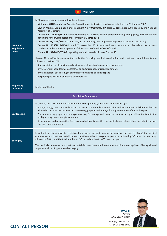|                                          | <b>VIETNAM</b>                                                                                                                                                                                                                                                                                                                                                                                                                                                                                                                                                                                                                                                                                                                                                                                                                                                                                                                                                                                                                                                                                                                                                                                                                                                                                                                                     |  |
|------------------------------------------|----------------------------------------------------------------------------------------------------------------------------------------------------------------------------------------------------------------------------------------------------------------------------------------------------------------------------------------------------------------------------------------------------------------------------------------------------------------------------------------------------------------------------------------------------------------------------------------------------------------------------------------------------------------------------------------------------------------------------------------------------------------------------------------------------------------------------------------------------------------------------------------------------------------------------------------------------------------------------------------------------------------------------------------------------------------------------------------------------------------------------------------------------------------------------------------------------------------------------------------------------------------------------------------------------------------------------------------------------|--|
| Laws and<br><b>Regulations</b><br>on IVF | IVF business is mainly regulated by the following:<br>. Vietnam's WTO Schedule of Specific Commitments in Services which came into force on 11 January 2007;<br>• Law on Medical Examination and Treatment No. 40/2009/ND-CP dated 23 November 2009 issued by the National<br>Assembly of Vietnam;<br>. Decree No. 10/2015/ND-CP dated 28 January 2015 issued by the Government regulating giving birth by IVF and<br>conditions for altruistic gestational surrogacy ("Decree 10");<br>. Decree No. 98/2016/ND-CP dated 1 July 2016 amending and supplementing several articles of Decree 10;<br>• Decree No. 155/2018/ND-CP dated 12 November 2018 on amendments to some articles related to business<br>conditions under State Management of the Ministry of Health ("MOH"); and<br>• Circular No. 57/2015/TT-BYT regulating in detail several articles of Decree 10.<br>Decree 10 specifically provides that only the following medical examination and treatment establishments are<br>allowed to perform IVF:<br>• State obstetrics or obstetrics-paediatrics establishments of provincial or higher level;<br>• private general hospitals with obstetrics or obstetrics-paediatrics departments;<br>• private hospitals specialising in obstetrics or obstetrics-paediatrics; and<br>• hospitals specialising in andrology and infertility. |  |
| <b>Regulatory</b><br>authority           | Ministry of Health                                                                                                                                                                                                                                                                                                                                                                                                                                                                                                                                                                                                                                                                                                                                                                                                                                                                                                                                                                                                                                                                                                                                                                                                                                                                                                                                 |  |
| <b>Regulatory Framework</b>              |                                                                                                                                                                                                                                                                                                                                                                                                                                                                                                                                                                                                                                                                                                                                                                                                                                                                                                                                                                                                                                                                                                                                                                                                                                                                                                                                                    |  |
| <b>Egg Freezing</b>                      | In general, the laws of Vietnam provide the following for egg, sperm and embryo storage:<br>• Storage of egg, sperm and embryo can be carried out in medical examination and treatment establishments that are<br>allowed to perform IVF to store and preserve egg, sperm and embryo for implementation of IVF techniques.<br>. The sender of egg, sperm or embryo must pay for storage and preservation fees through civil contracts with the<br>facility storing sperm, oocyte, or embryo.<br>. If the storage and preservation fee is not paid within six months, the medical establishment has the right to destroy<br>the egg, sperm or embryo.                                                                                                                                                                                                                                                                                                                                                                                                                                                                                                                                                                                                                                                                                               |  |
| <b>Surrogacy</b>                         | In order to perform altruistic gestational surrogacy (surrogate cannot be paid for carrying the baby) the medical<br>examination and treatment establishment must have at least two years experience performing IVF (from the date being<br>allowed by MOH) and the total number of IVF cycles is at least 1,000 cases per year.<br>The medical examination and treatment establishment is required to obtain a decision on recognition of being allowed<br>to perform altruistic gestational surrogacy.                                                                                                                                                                                                                                                                                                                                                                                                                                                                                                                                                                                                                                                                                                                                                                                                                                           |  |



**Tay Zi Li** Partner ZICO Law Vietnam zi.li.tay@zicolaw.com

#### **CONTACT PERSON**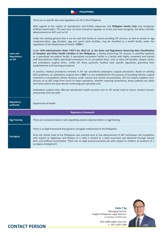| <b>PHILIPPINES</b>                       |                                                                                                                                                                                                                                                                                                                                                                                                                                                                                                                                                                                                                                                                                                                                                                                                                                                                                                                                                                                                                                                                                                                                                                                                                                                                                                                                                                                                                                                                                                                                                                                                                                                                                                                                                                                                                                                                                                                                                                                                                                                           |
|------------------------------------------|-----------------------------------------------------------------------------------------------------------------------------------------------------------------------------------------------------------------------------------------------------------------------------------------------------------------------------------------------------------------------------------------------------------------------------------------------------------------------------------------------------------------------------------------------------------------------------------------------------------------------------------------------------------------------------------------------------------------------------------------------------------------------------------------------------------------------------------------------------------------------------------------------------------------------------------------------------------------------------------------------------------------------------------------------------------------------------------------------------------------------------------------------------------------------------------------------------------------------------------------------------------------------------------------------------------------------------------------------------------------------------------------------------------------------------------------------------------------------------------------------------------------------------------------------------------------------------------------------------------------------------------------------------------------------------------------------------------------------------------------------------------------------------------------------------------------------------------------------------------------------------------------------------------------------------------------------------------------------------------------------------------------------------------------------------------|
| Laws and<br><b>Regulations</b><br>on IVF | There are no specific laws and regulations on IVF in the Philippines.<br>With regards to the subject of reproduction and fertility awareness, the Philippine Family Code only recognises<br>artificial insemination. The laws have not been revised to regulate, or at the very least recognise, the latest scientific<br>advancements on ART, such as IVF.<br>Under the existing general laws it can be said that facility or centre providing IVF services, as well as oocyte or egg<br>cryopreservation, egg donation, egg and sperm bank facilities, may be classified as a health facility under the<br>regulations of the Department of Health ("DOH").<br>Under DOH Administrative Order ("AO") No. 0012-12, or the Rules and Regulations Governing New Classification<br>of Hospitals and Other Health Facilities in the Philippines, a facility performing IVF services is classified explicitly<br>as a specialised out-patient facility. A specialised out-patient facility is a facility with highly competent and trained<br>staff that performs highly specialised procedures on an out-patient basis, such as stem cell facilities, dialysis clinics,<br>and ambulatory surgical clinics. Unlike IVF, these particular facilities have specific regulations governing their<br>establishments and licensing procedures.<br>In practice, medical procedures involved in IVF are considered ambulatory surgical procedures. Based on existing<br>DOH guidelines, an ambulatory surgical clinic ("ASC") is one established for the purpose of providing elective surgical<br>treatment of out-patients whose recovery, under normal and routine circumstances, will not require inpatient care.<br>Services of an ASC range from minor to major operations, whether requiring anaesthesia, where patients are safely<br>sent home within the same day for continuing post-operative care.<br>Ambulatory surgical clinic offering reproductive health services such as IVF would need to secure relevant licenses<br>and permits from the DOH. |
| <b>Regulatory</b><br>authority           | Department of Health                                                                                                                                                                                                                                                                                                                                                                                                                                                                                                                                                                                                                                                                                                                                                                                                                                                                                                                                                                                                                                                                                                                                                                                                                                                                                                                                                                                                                                                                                                                                                                                                                                                                                                                                                                                                                                                                                                                                                                                                                                      |
|                                          | <b>Regulatory Framework</b>                                                                                                                                                                                                                                                                                                                                                                                                                                                                                                                                                                                                                                                                                                                                                                                                                                                                                                                                                                                                                                                                                                                                                                                                                                                                                                                                                                                                                                                                                                                                                                                                                                                                                                                                                                                                                                                                                                                                                                                                                               |
| <b>Egg Freezing</b>                      | There are no express laws or rules regulating oocyte cryopreservation or egg freezing.                                                                                                                                                                                                                                                                                                                                                                                                                                                                                                                                                                                                                                                                                                                                                                                                                                                                                                                                                                                                                                                                                                                                                                                                                                                                                                                                                                                                                                                                                                                                                                                                                                                                                                                                                                                                                                                                                                                                                                    |
| <b>Surrogacy</b>                         | There is no legal framework that governs surrogate motherhood in the Philippines.<br>Since the Family Code of the Philippines was enacted prior to the advancement of ART techniques, the recognition<br>with respect to legitimacy and filiation of a child is limited to a child conceived and delivered through natural<br>birth and artificial insemination. There are no legal pronouncements yet with respect to children as products of a<br>surrogacy arrangement.                                                                                                                                                                                                                                                                                                                                                                                                                                                                                                                                                                                                                                                                                                                                                                                                                                                                                                                                                                                                                                                                                                                                                                                                                                                                                                                                                                                                                                                                                                                                                                                |



Managing Partner Insights Philippines Legal Advisors (a member of ZICO Law)

felix.sy@insights-law.com

**Felix T Sy**

t. +63 2 903 1290 **CONTACT PERSON**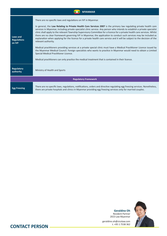| <b>MYANMAR</b>                           |                                                                                                                                                                                                                                                                                                                                                                                                                                                                                                                                                                                                                                                                                                                                                                                                                                                                                                                                                                                                                                                                                                                         |
|------------------------------------------|-------------------------------------------------------------------------------------------------------------------------------------------------------------------------------------------------------------------------------------------------------------------------------------------------------------------------------------------------------------------------------------------------------------------------------------------------------------------------------------------------------------------------------------------------------------------------------------------------------------------------------------------------------------------------------------------------------------------------------------------------------------------------------------------------------------------------------------------------------------------------------------------------------------------------------------------------------------------------------------------------------------------------------------------------------------------------------------------------------------------------|
| Laws and<br><b>Regulations</b><br>on IVF | There are no specific laws and regulations on IVF in Myanmar.<br>In general, the Law Relating to Private Health Care Services 2007 is the primary law regulating private health care<br>services in Myanmar, including private specialist clinic service. Any person who intends to establish a private specialist<br>clinic shall apply to the relevant Township Supervisory Committee for a licence for a private health care services. Whilst<br>there are no clear framework governing IVF in Myanmar, the application to conduct such services may be included as<br>explanation when applying for the licence for a private health care service and it will be subject to the decision of the<br>relevant authority.<br>Medical practitioners providing services at a private special clinic must have a Medical Practitioner Licence issued by<br>the Myanmar Medical Council. Foreign specialists who wants to practice in Myanmar would need to obtain a Limited<br>Special Medical Practitioner Licence.<br>Medical practitioners can only practice the medical treatment that is contained in their licence. |
| <b>Regulatory</b><br>authority           | Ministry of Health and Sports                                                                                                                                                                                                                                                                                                                                                                                                                                                                                                                                                                                                                                                                                                                                                                                                                                                                                                                                                                                                                                                                                           |
| <b>Regulatory Framework</b>              |                                                                                                                                                                                                                                                                                                                                                                                                                                                                                                                                                                                                                                                                                                                                                                                                                                                                                                                                                                                                                                                                                                                         |
| <b>Egg Freezing</b>                      | There are no specific laws, regulations, notifications, orders and directive regulating egg freezing services. Nonetheless,<br>there are private hospitals and clinics in Myanmar providing egg freezing services only for married couples.                                                                                                                                                                                                                                                                                                                                                                                                                                                                                                                                                                                                                                                                                                                                                                                                                                                                             |



Resident Partner ZICO Law Myanmar

**Geraldine Oh**

geraldine.oh@zicolaw.com<br>t. +95 1 7538 362

**CONTACT PERSON**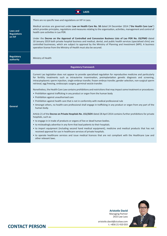| <b>LAOS</b>                                     |                                                                                                                                                                                                                                                                                                                                                                                                                                                                                                                                                                                                                                                     |  |
|-------------------------------------------------|-----------------------------------------------------------------------------------------------------------------------------------------------------------------------------------------------------------------------------------------------------------------------------------------------------------------------------------------------------------------------------------------------------------------------------------------------------------------------------------------------------------------------------------------------------------------------------------------------------------------------------------------------------|--|
| <b>Laws and</b><br><b>Regulations</b><br>on IVF | There are no specific laws and regulations on IVF in Laos.                                                                                                                                                                                                                                                                                                                                                                                                                                                                                                                                                                                          |  |
|                                                 | Medical services are governed under Law on Health Care No. 58 dated 24 December 2014 ("the Health Care Law")<br>which provides principles, regulations and measures relating to the organisation, activities, management and control of<br>health care activities in Lao PDR.                                                                                                                                                                                                                                                                                                                                                                       |  |
|                                                 | Under the Decree on the Approval of Controlled and Concession Business Lists of Lao PDR No. 03/PMO dated<br>10 January 2019 both private hospital business and medical, dental, and public health services (specialised clinic) are<br>controlled businesses, which are subject to approval by the Ministry of Planning and Investment (MPI). A business<br>operation license from the Ministry of Health must also be secured.                                                                                                                                                                                                                     |  |
| <b>Regulatory</b><br>authority                  | Ministry of Health                                                                                                                                                                                                                                                                                                                                                                                                                                                                                                                                                                                                                                  |  |
| <b>Regulatory Framework</b>                     |                                                                                                                                                                                                                                                                                                                                                                                                                                                                                                                                                                                                                                                     |  |
|                                                 | Current Lao legislation does not appear to provide specialised regulation for reproductive medicine and particularly<br>for fertility treatments such as intrauterine insemination, preimplantation genetic diagnosis and screening,<br>intracytoplasmic sperm injection, single embryo transfer, frozen embryo transfer, gender selection, non-surgical sperm<br>retrieval, egg freezing, endoscopic surgery, germinal vesicle transfer.<br>Nonetheless, the Health Care Law contains prohibitions and restrictions that may impact some treatment or procedures:<br>• Prohibition against trafficking in any product or organ from the human body |  |
|                                                 | • Prohibition against unauthorised care                                                                                                                                                                                                                                                                                                                                                                                                                                                                                                                                                                                                             |  |
| <b>General</b>                                  | . Prohibition against health care that is not in conformity with medical professional rule<br>• Amongst others, no health-care professional shall engage in trafficking in any product or organ from any part of the<br>human body.                                                                                                                                                                                                                                                                                                                                                                                                                 |  |
|                                                 | Article 21 of the Decree on Private Hospitals No. 151/GOV dated 28 April 2014 contains further prohibitions for private<br>hospitals, such as:                                                                                                                                                                                                                                                                                                                                                                                                                                                                                                      |  |
|                                                 | • to engage in in trade of products or organs of live or dead human bodies.                                                                                                                                                                                                                                                                                                                                                                                                                                                                                                                                                                         |  |
|                                                 | • to misleadingly advertise in any form that lead patients to their hospitals.                                                                                                                                                                                                                                                                                                                                                                                                                                                                                                                                                                      |  |
|                                                 | • to import equipment (including second hand medical equipment), medicine and medical products that has not<br>received approval for use in healthcare services of private hospitals.                                                                                                                                                                                                                                                                                                                                                                                                                                                               |  |
|                                                 | • to operate healthcare services and issue medical licences that are not compliant with the Healthcare Law and<br>other relevant laws.                                                                                                                                                                                                                                                                                                                                                                                                                                                                                                              |  |



ZICO Law Laos aristotle.david@zicolaw.com

**Aristotle David** Managing Partner

### t. +856 21 410 033 **CONTACT PERSON**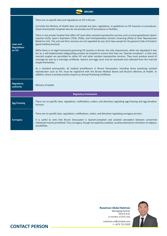| <b>BRUNEI</b>                            |                                                                                                                                                                                                                                                                                                                                                                                                                                                                                                               |  |
|------------------------------------------|---------------------------------------------------------------------------------------------------------------------------------------------------------------------------------------------------------------------------------------------------------------------------------------------------------------------------------------------------------------------------------------------------------------------------------------------------------------------------------------------------------------|--|
| Laws and<br><b>Regulations</b><br>on IVF | There are no specific laws and regulations on IVF in Brunei.                                                                                                                                                                                                                                                                                                                                                                                                                                                  |  |
|                                          | Currently the Ministry of Health does not provide any laws, regulations, or guidelines on IVF business or procedures.<br>Government/public hospitals also do not provide any IVF procedures or facilities.                                                                                                                                                                                                                                                                                                    |  |
|                                          | There is one private hospital that offers IVF (and other assisted reproductive services such as Intracyptoplasmic Sperm<br>Injection (ICSI), Sperm Aspiration (TESA, PESA), and Preimplantation Genetic Screening (PGS)) at their Reproductive<br>Medicine Unit. The unit and their services are not regulated by any strict laws except for the general Code of Conduct<br>(good medical practice).                                                                                                          |  |
|                                          | While there is no legal framework governing IVF practice in Brunei, the only requirement, while not stipulated in law<br>but as a self-implemented safeguarding practice by hospital to ensure that they are "Syariah-compliant", is that only<br>married couples are permitted to utilise IVF and other assisted reproductive services. They must produce proof of<br>marriage by way oy a marriage certificate. Sperms and eggs must only be extracted and collected from the married<br>couple themselves. |  |
|                                          | As a standard prerequisite, all medical practitioners in Brunei Darussalam, including those practicing assisted<br>reproduction such as IVF, must be registered with the Brunei Medical Board and Brunei's Ministry of Health. In<br>addition, those in private practice require an Annual Practicing Certificate.                                                                                                                                                                                            |  |
| <b>Regulatory</b><br>authority           | Ministry of Health                                                                                                                                                                                                                                                                                                                                                                                                                                                                                            |  |
| <b>Regulatory Framework</b>              |                                                                                                                                                                                                                                                                                                                                                                                                                                                                                                               |  |
| <b>Egg Freezing</b>                      | There are no specific laws, regulations, notifications, orders, and directives regulating egg freezing and egg donation<br>services.                                                                                                                                                                                                                                                                                                                                                                          |  |
| <b>Surrogacy</b>                         | There are no specific laws, regulations, notifications, orders, and directives regulating surrogacy services.                                                                                                                                                                                                                                                                                                                                                                                                 |  |
|                                          | It is useful to note that Brunei Darussalam is Syariah-compliant and assisted conception between unmarried<br>individuals may be prohibited. Thus surrogacy, though not explicitly unlawful, could be deemed an infraction of religious<br>sensibilities.                                                                                                                                                                                                                                                     |  |
|                                          |                                                                                                                                                                                                                                                                                                                                                                                                                                                                                                               |  |



ZICO R.A.R. (a member of ZICO Law)

**CONTACT PERSON** 

rozaiman.ar@zicolaw.com